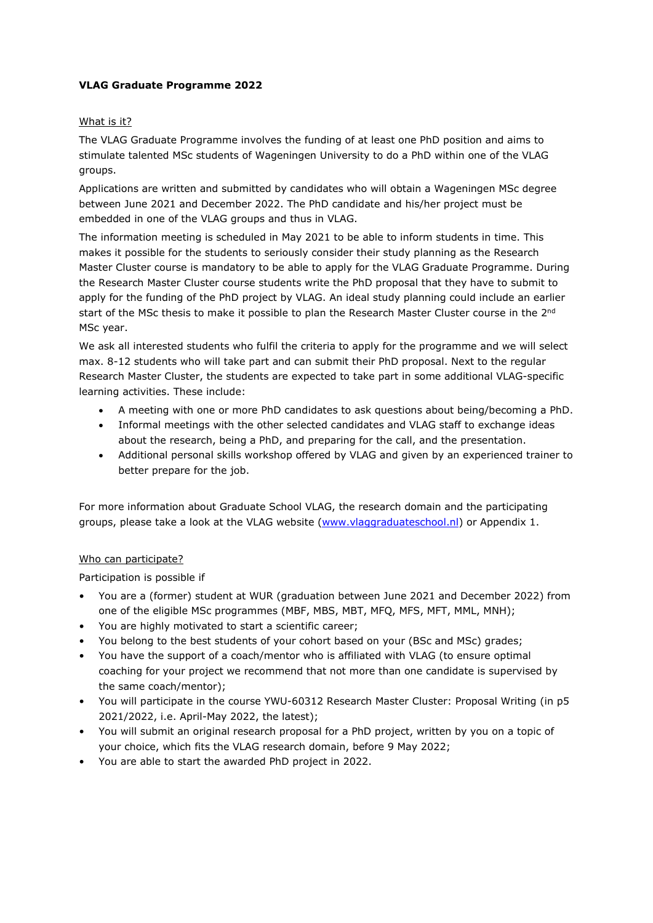## **VLAG Graduate Programme 2022**

## What is it?

The VLAG Graduate Programme involves the funding of at least one PhD position and aims to stimulate talented MSc students of Wageningen University to do a PhD within one of the VLAG groups.

Applications are written and submitted by candidates who will obtain a Wageningen MSc degree between June 2021 and December 2022. The PhD candidate and his/her project must be embedded in one of the VLAG groups and thus in VLAG.

The information meeting is scheduled in May 2021 to be able to inform students in time. This makes it possible for the students to seriously consider their study planning as the Research Master Cluster course is mandatory to be able to apply for the VLAG Graduate Programme. During the Research Master Cluster course students write the PhD proposal that they have to submit to apply for the funding of the PhD project by VLAG. An ideal study planning could include an earlier start of the MSc thesis to make it possible to plan the Research Master Cluster course in the 2<sup>nd</sup> MSc year.

We ask all interested students who fulfil the criteria to apply for the programme and we will select max. 8-12 students who will take part and can submit their PhD proposal. Next to the regular Research Master Cluster, the students are expected to take part in some additional VLAG-specific learning activities. These include:

- A meeting with one or more PhD candidates to ask questions about being/becoming a PhD.
- Informal meetings with the other selected candidates and VLAG staff to exchange ideas about the research, being a PhD, and preparing for the call, and the presentation.
- Additional personal skills workshop offered by VLAG and given by an experienced trainer to better prepare for the job.

For more information about Graduate School VLAG, the research domain and the participating groups, please take a look at the VLAG website [\(www.vlaggraduateschool.nl\)](http://www.vlaggraduateschool.nl/) or Appendix 1.

## Who can participate?

Participation is possible if

- You are a (former) student at WUR (graduation between June 2021 and December 2022) from one of the eligible MSc programmes (MBF, MBS, MBT, MFQ, MFS, MFT, MML, MNH);
- You are highly motivated to start a scientific career;
- You belong to the best students of your cohort based on your (BSc and MSc) grades;
- You have the support of a coach/mentor who is affiliated with VLAG (to ensure optimal coaching for your project we recommend that not more than one candidate is supervised by the same coach/mentor);
- You will participate in the course YWU-60312 Research Master Cluster: Proposal Writing (in p5 2021/2022, i.e. April-May 2022, the latest);
- You will submit an original research proposal for a PhD project, written by you on a topic of your choice, which fits the VLAG research domain, before 9 May 2022;
- You are able to start the awarded PhD project in 2022.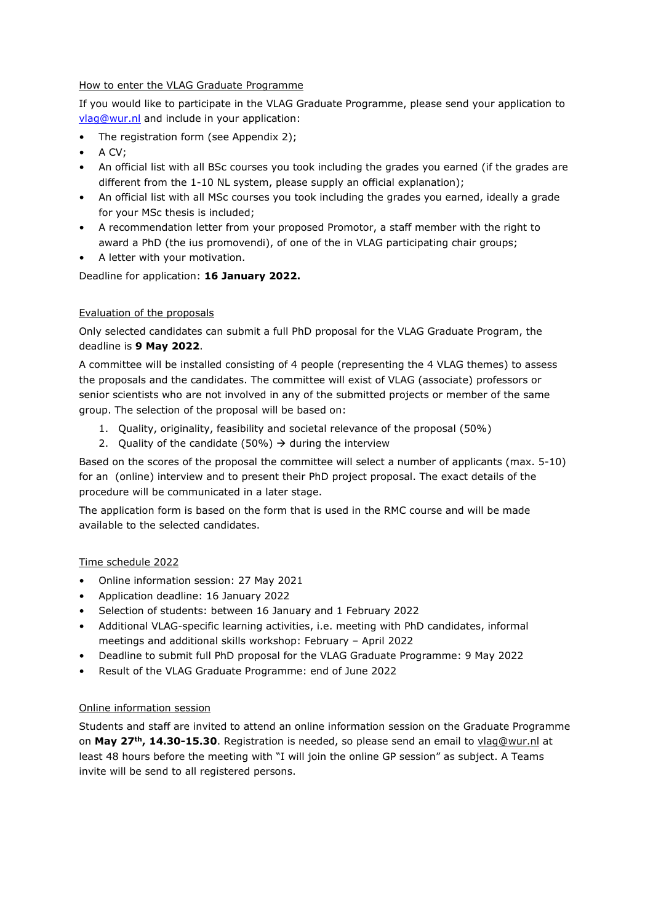## How to enter the VLAG Graduate Programme

If you would like to participate in the VLAG Graduate Programme, please send your application to [vlag@wur.nl](mailto:vlag@wur.nl) and include in your application:

- The registration form (see Appendix 2);
- A CV;
- An official list with all BSc courses you took including the grades you earned (if the grades are different from the 1-10 NL system, please supply an official explanation);
- An official list with all MSc courses you took including the grades you earned, ideally a grade for your MSc thesis is included;
- A recommendation letter from your proposed Promotor, a staff member with the right to award a PhD (the ius promovendi), of one of the in VLAG participating chair groups;
- A letter with your motivation.

Deadline for application: **16 January 2022.**

## Evaluation of the proposals

Only selected candidates can submit a full PhD proposal for the VLAG Graduate Program, the deadline is **9 May 2022**.

A committee will be installed consisting of 4 people (representing the 4 VLAG themes) to assess the proposals and the candidates. The committee will exist of VLAG (associate) professors or senior scientists who are not involved in any of the submitted projects or member of the same group. The selection of the proposal will be based on:

- 1. Quality, originality, feasibility and societal relevance of the proposal (50%)
- 2. Quality of the candidate (50%)  $\rightarrow$  during the interview

Based on the scores of the proposal the committee will select a number of applicants (max. 5-10) for an (online) interview and to present their PhD project proposal. The exact details of the procedure will be communicated in a later stage.

The application form is based on the form that is used in the RMC course and will be made available to the selected candidates.

## Time schedule 2022

- Online information session: 27 May 2021
- Application deadline: 16 January 2022
- Selection of students: between 16 January and 1 February 2022
- Additional VLAG-specific learning activities, i.e. meeting with PhD candidates, informal meetings and additional skills workshop: February – April 2022
- Deadline to submit full PhD proposal for the VLAG Graduate Programme: 9 May 2022
- Result of the VLAG Graduate Programme: end of June 2022

## Online information session

Students and staff are invited to attend an online information session on the Graduate Programme on **May 27th, 14.30-15.30**. Registration is needed, so please send an email to [vlag@wur.nl](mailto:vlag@wur.nl) at least 48 hours before the meeting with "I will join the online GP session" as subject. A Teams invite will be send to all registered persons.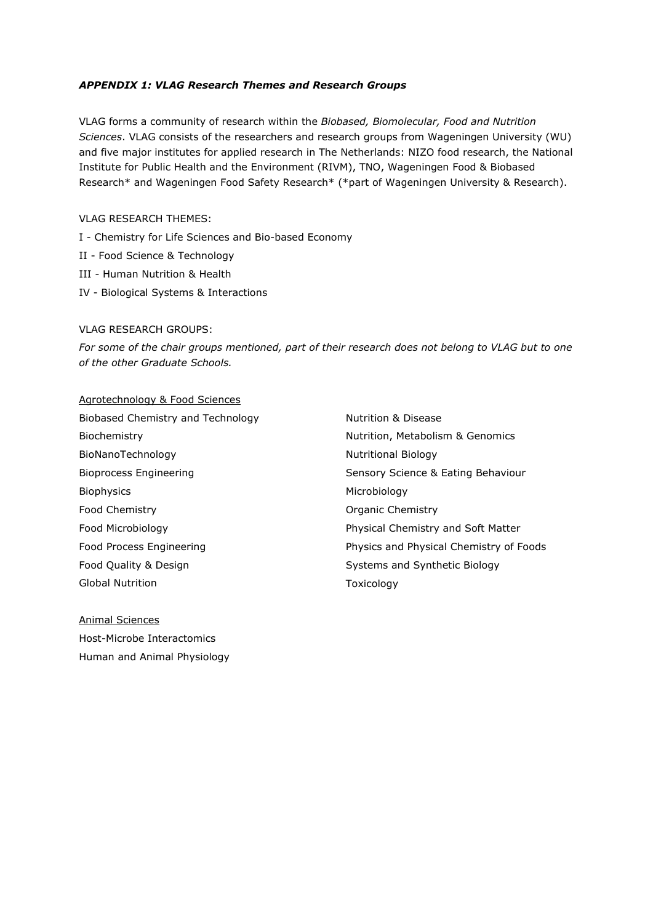#### *APPENDIX 1: VLAG Research Themes and Research Groups*

VLAG forms a community of research within the *Biobased, Biomolecular, Food and Nutrition Sciences*. VLAG consists of the researchers and research groups from Wageningen University (WU) and five major institutes for applied research in The Netherlands: NIZO food research, the National Institute for Public Health and the Environment (RIVM), TNO, Wageningen Food & Biobased Research\* and Wageningen Food Safety Research\* (\*part of Wageningen University & Research).

#### VLAG RESEARCH THEMES:

- I Chemistry for Life Sciences and Bio-based Economy
- II Food Science & Technology
- III Human Nutrition & Health
- IV Biological Systems & Interactions

#### VLAG RESEARCH GROUPS:

*For some of the chair groups mentioned, part of their research does not belong to VLAG but to one of the other Graduate Schools.*

#### Agrotechnology & Food Sciences

Biobased Chemistry and Technology Biochemistry BioNanoTechnology Bioprocess Engineering Biophysics Food Chemistry Food Microbiology Food Process Engineering Food Quality & Design Global Nutrition

Nutrition & Disease Nutrition, Metabolism & Genomics Nutritional Biology Sensory Science & Eating Behaviour Microbiology Organic Chemistry Physical Chemistry and Soft Matter Physics and Physical Chemistry of Foods Systems and Synthetic Biology Toxicology

Animal Sciences Host-Microbe Interactomics Human and Animal Physiology